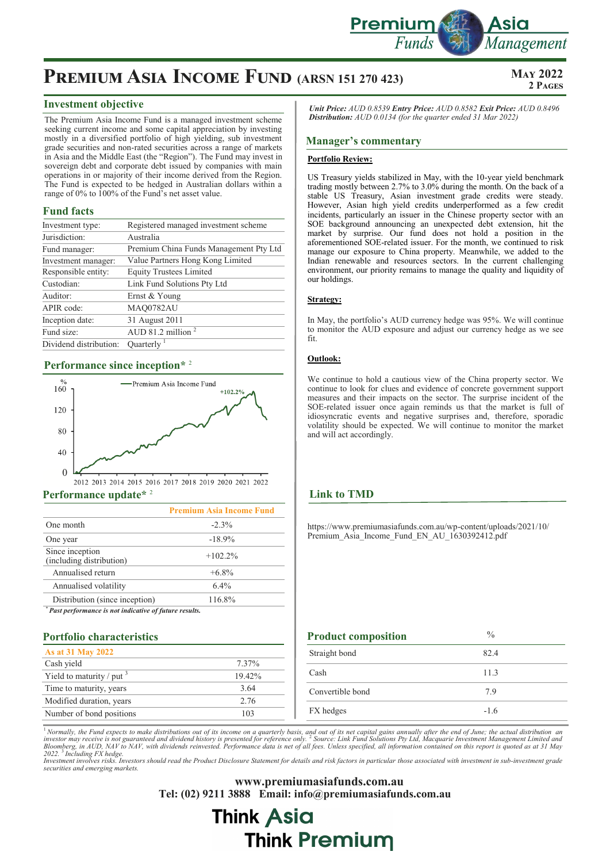

## **PREMIUM ASIA INCOME FUND (ARSN 151 270 423)** MAY 2022

#### **Investment objective**

The Premium Asia Income Fund is a managed investment scheme seeking current income and some capital appreciation by investing mostly in a diversified portfolio of high yielding, sub investment grade securities and non-rated securities across a range of markets in Asia and the Middle East (the "Region"). The Fund may invest in sovereign debt and corporate debt issued by companies with main operations in or majority of their income derived from the Region. The Fund is expected to be hedged in Australian dollars within a range of 0% to 100% of the Fund's net asset value.

#### **Fund facts**

| Investment type:       | Registered managed investment scheme   |
|------------------------|----------------------------------------|
| Jurisdiction:          | Australia                              |
| Fund manager:          | Premium China Funds Management Pty Ltd |
| Investment manager:    | Value Partners Hong Kong Limited       |
| Responsible entity:    | <b>Equity Trustees Limited</b>         |
| Custodian:             | Link Fund Solutions Pty Ltd            |
| Auditor:               | Ernst & Young                          |
| APIR code:             | MAQ0782AU                              |
| Inception date:        | 31 August 2011                         |
| Fund size:             | AUD 81.2 million $2$                   |
| Dividend distribution: | Ouarterly $1$                          |

## **Performance since inception\*** <sup>2</sup>



#### **Performance update\*** <sup>2</sup>

|                                                       | <b>Premium Asia Income Fund</b> |
|-------------------------------------------------------|---------------------------------|
| One month                                             | $-2.3\%$                        |
| One year                                              | $-18.9%$                        |
| Since inception<br>(including distribution)           | $+102.2\%$                      |
| Annualised return                                     | $+6.8\%$                        |
| Annualised volatility                                 | $6.4\%$                         |
| Distribution (since inception)                        | 116.8%                          |
| Past performance is not indicative of future results. |                                 |

#### **Portfolio characteristics**

| As at 31 May 2022               |        |
|---------------------------------|--------|
| Cash yield                      | 7.37%  |
| Yield to maturity / put $\beta$ | 19.42% |
| Time to maturity, years         | 3.64   |
| Modified duration, years        | 2.76   |
| Number of bond positions        | 103    |

*Unit Price: AUD 0.8539 Entry Price: AUD 0.8582 Exit Price: AUD 0.8496 Distribution: AUD 0.0134 (for the quarter ended 31 Mar 2022)*

#### **Manager's commentary**

#### **Portfolio Review:**

US Treasury yields stabilized in May, with the 10-year yield benchmark trading mostly between 2.7% to 3.0% during the month. On the back of a stable US Treasury, Asian investment grade credits were steady. However, Asian high yield credits underperformed as a few credit incidents, particularly an issuer in the Chinese property sector with an SOE background announcing an unexpected debt extension, hit the market by surprise. Our fund does not hold a position in the aforementioned SOE-related issuer. For the month, we continued to risk manage our exposure to China property. Meanwhile, we added to the Indian renewable and resources sectors. In the current challenging environment, our priority remains to manage the quality and liquidity of our holdings.

#### **Strategy:**

In May, the portfolio's AUD currency hedge was 95%. We will continue to monitor the AUD exposure and adjust our currency hedge as we see fit.

#### **Outlook:**

We continue to hold a cautious view of the China property sector. We continue to look for clues and evidence of concrete government support measures and their impacts on the sector. The surprise incident of the SOE-related issuer once again reminds us that the market is full of idiosyncratic events and negative surprises and, therefore, sporadic volatility should be expected. We will continue to monitor the market and will act accordingly.

#### **Link to TMD**

https://www.premiumasiafunds.com.au/wp-content/uploads/2021/10/ Premium Asia Income Fund EN AU  $1630392412.$ pdf

| <b>Product composition</b> | $\frac{0}{0}$ |
|----------------------------|---------------|
| Straight bond              | 82.4          |
| Cash                       | 11.3          |
| Convertible bond           | 7.9           |
| FX hedges                  | $-1.6$        |

<sup>1</sup> Normally, the Fund expects to make distributions out of its income on a quarterly basis, and out of its net capital gains annually after the end of June; the actual distribution an<br>investor may receive is not guarantee 2022.<sup>3</sup> Including FX hedge.<br>Investment involves risks. Investors should read the Product Disclosure Statement for details and risk factors in particular those associated with investment in sub-investment grade

*securities and emerging markets.* 

**www.premiumasiafunds.com.au Tel: (02) 9211 3888 Email: info@premiumasiafunds.com.au**

# **Think Asia Think Premium**

**2 Pages**